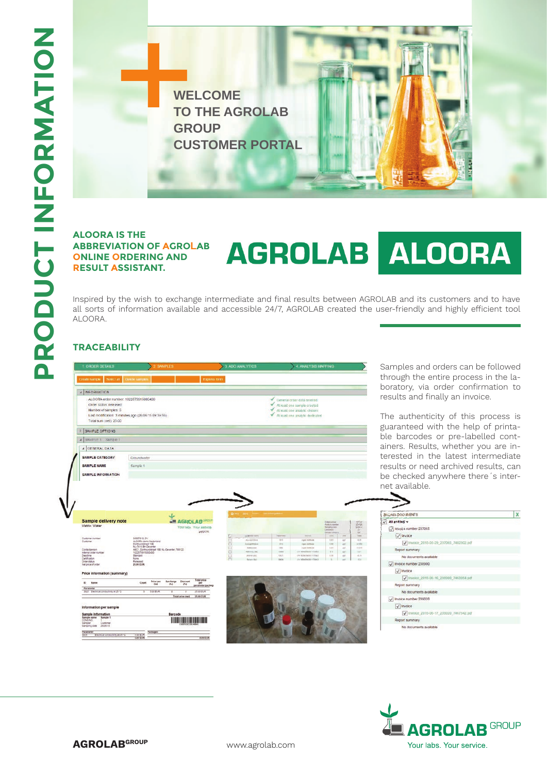

## **ALOORA IS THE ABBREVIATION OF AGRO LAB ONLINE ORDERING AND RESULT ASSISTANT.**

# AGROLAB ALOORA

Inspired by the wish to exchange intermediate and final results between AGROLAB and its customers and to have all sorts of information available and accessible 24/7, AGROLAB created the user-friendly and highly efficient tool ALOORA.

## **TRACEABILITY**



Samples and orders can be followed through the entire process in the laboratory, via order confirmation to results and finally an invoice.

The authenticity of this process is guaranteed with the help of printable barcodes or pre-labelled containers. Results, whether you are interested in the latest intermediate results or need archived results, can be checked anywhere there´s internet available.

| <b>BILLING DOCUMENTS</b>                   |  |
|--------------------------------------------|--|
| $\sqrt{\phantom{a}}$ All entries $\approx$ |  |
| Invoice number 237065                      |  |
| $\sqrt{\frac{1}{2}}$ Invoice               |  |
| / Invoice_2015-05-29_237065_7402302.pdf    |  |
| Report summary                             |  |
| No documents available                     |  |
| V Invoice number 238900                    |  |
| $\sqrt{\frac{Imvol}{c}}$                   |  |
| √ Invoice: 2015-06-16, 238900, 7463054 pdf |  |
| Report summary                             |  |
| No documents available                     |  |
| Invoice number 239020                      |  |
| $\sqrt{ }$ Invoice                         |  |
| V Invoice_2015-06-17_239020_7467342.pdf    |  |
| Report summary                             |  |
| No documents available                     |  |